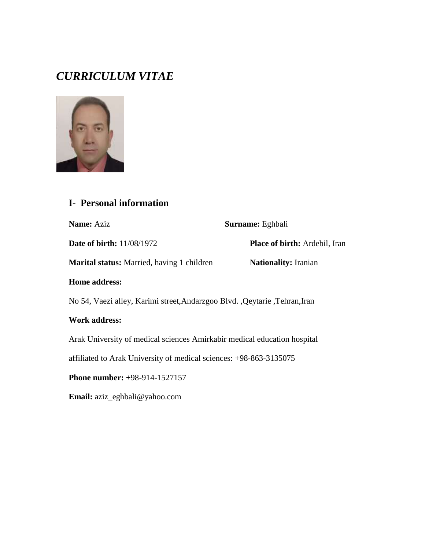# *CURRICULUM VITAE*



#### **I- Personal information**

**Name:** Aziz **Surname:** Eghbali

**Date of birth:** 11/08/1972 **Place of birth:** Ardebil, Iran

**Marital status:** Married, having 1 children **Nationality:** Iranian

## **Home address:**

No 54, Vaezi alley, Karimi street,Andarzgoo Blvd. ,Qeytarie ,Tehran,Iran

#### **Work address:**

Arak University of medical sciences Amirkabir medical education hospital

affiliated to Arak University of medical sciences: +98-863-3135075

**Phone number:** +98-914-1527157

**Email:** aziz\_eghbali@yahoo.com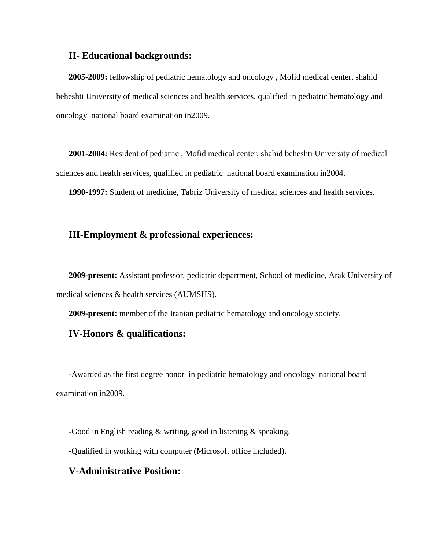#### **II- Educational backgrounds:**

**2005-2009:** fellowship of pediatric hematology and oncology , Mofid medical center, shahid beheshti University of medical sciences and health services, qualified in pediatric hematology and oncology national board examination in2009.

**2001-2004:** Resident of pediatric , Mofid medical center, shahid beheshti University of medical sciences and health services, qualified in pediatric national board examination in2004.

**1990-1997:** Student of medicine, Tabriz University of medical sciences and health services.

#### **III-Employment & professional experiences:**

**2009-present:** Assistant professor, pediatric department, School of medicine, Arak University of medical sciences & health services (AUMSHS).

**2009-present:** member of the Iranian pediatric hematology and oncology society.

#### **IV-Honors & qualifications:**

**-**Awarded as the first degree honor in pediatric hematology and oncology national board examination in2009.

**-**Good in English reading & writing, good in listening & speaking.

**-**Qualified in working with computer (Microsoft office included).

#### **V-Administrative Position:**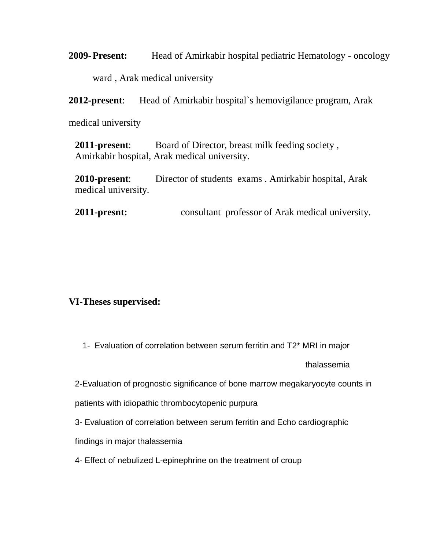**2009-Present:** Head of Amirkabir hospital pediatric Hematology - oncology ward , Arak medical university

**2012-present**: Head of Amirkabir hospital`s hemovigilance program, Arak

medical university

**2011-present**: Board of Director, breast milk feeding society , Amirkabir hospital, Arak medical university.

**2010-present**: Director of students exams . Amirkabir hospital, Arak medical university.

**2011-presnt:** consultant professor of Arak medical university.

#### **VI-Theses supervised:**

1- Evaluation of correlation between serum ferritin and T2\* MRI in major

thalassemia

2-Evaluation of prognostic significance of bone marrow megakaryocyte counts in

patients with idiopathic thrombocytopenic purpura

3- Evaluation of correlation between serum ferritin and Echo cardiographic

findings in major thalassemia

4- Effect of nebulized L-epinephrine on the treatment of croup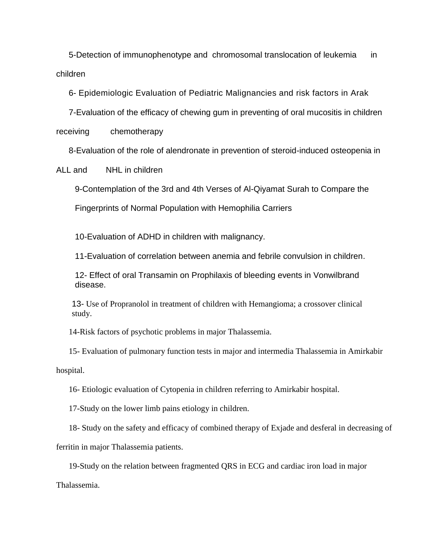5-Detection of immunophenotype and chromosomal translocation of leukemia in children

6- Epidemiologic Evaluation of Pediatric Malignancies and risk factors in Arak

7-Evaluation of the efficacy of chewing gum in preventing of oral mucositis in children

receiving chemotherapy

8[-Evaluation of the role of alendronate in prevention of steroid-induced osteopenia in](http://amuj.arakmu.ac.ir/files/site1/user_files_44b4b4/dr.esmaili-A-10-792-16-5d882da.pdf) 

[ALL and NHL in children](http://amuj.arakmu.ac.ir/files/site1/user_files_44b4b4/dr.esmaili-A-10-792-16-5d882da.pdf)

9-Contemplation of the 3rd and 4th Verses of Al-Qiyamat Surah to Compare the

Fingerprints of Normal Population with Hemophilia Carriers

10-Evaluation of ADHD in children with malignancy.

11-Evaluation of correlation between anemia and febrile convulsion in children.

12- Effect of oral Transamin on Prophilaxis of bleeding events in Vonwilbrand disease.

13- Use of Propranolol in treatment of children with Hemangioma; a crossover clinical study.

14-Risk factors of psychotic problems in major Thalassemia.

15- Evaluation of pulmonary function tests in major and intermedia Thalassemia in Amirkabir

hospital.

16- Etiologic evaluation of Cytopenia in children referring to Amirkabir hospital.

17-Study on the lower limb pains etiology in children.

18- Study on the safety and efficacy of combined therapy of Exjade and desferal in decreasing of ferritin in major Thalassemia patients.

19-Study on the relation between fragmented QRS in ECG and cardiac iron load in major

Thalassemia.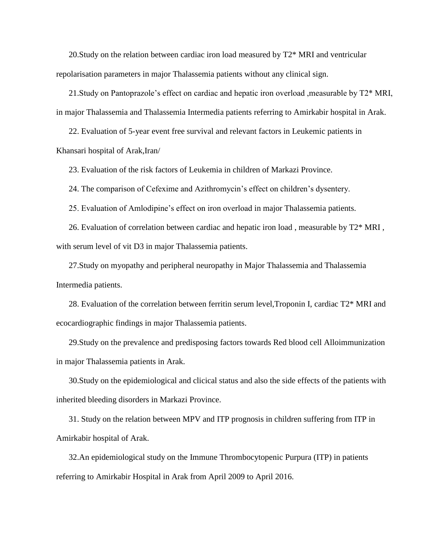20.Study on the relation between cardiac iron load measured by T2\* MRI and ventricular repolarisation parameters in major Thalassemia patients without any clinical sign.

21.Study on Pantoprazole's effect on cardiac and hepatic iron overload ,measurable by T2\* MRI, in major Thalassemia and Thalassemia Intermedia patients referring to Amirkabir hospital in Arak.

22. Evaluation of 5-year event free survival and relevant factors in Leukemic patients in Khansari hospital of Arak,Iran/

23. Evaluation of the risk factors of Leukemia in children of Markazi Province.

24. The comparison of Cefexime and Azithromycin's effect on children's dysentery.

25. Evaluation of Amlodipine's effect on iron overload in major Thalassemia patients.

26. Evaluation of correlation between cardiac and hepatic iron load , measurable by T2\* MRI , with serum level of vit D3 in major Thalassemia patients.

27.Study on myopathy and peripheral neuropathy in Major Thalassemia and Thalassemia Intermedia patients.

28. Evaluation of the correlation between ferritin serum level,Troponin I, cardiac T2\* MRI and ecocardiographic findings in major Thalassemia patients.

29.Study on the prevalence and predisposing factors towards Red blood cell Alloimmunization in major Thalassemia patients in Arak.

30.Study on the epidemiological and clicical status and also the side effects of the patients with inherited bleeding disorders in Markazi Province.

31. Study on the relation between MPV and ITP prognosis in children suffering from ITP in Amirkabir hospital of Arak.

32.An epidemiological study on the Immune Thrombocytopenic Purpura (ITP) in patients referring to Amirkabir Hospital in Arak from April 2009 to April 2016.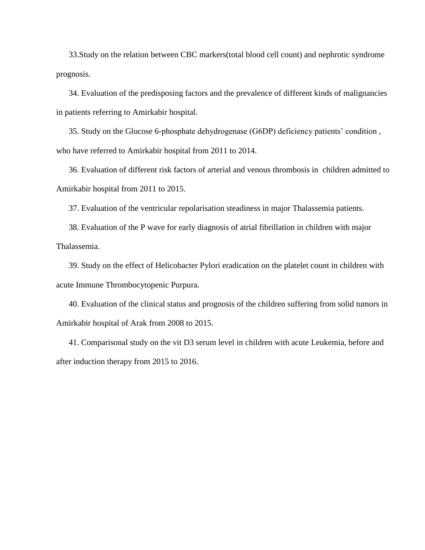33.Study on the relation between CBC markers(total blood cell count) and nephrotic syndrome prognosis.

34. Evaluation of the predisposing factors and the prevalence of different kinds of malignancies in patients referring to Amirkabir hospital.

35. Study on the Glucose 6-phosphate dehydrogenase (G6DP) deficiency patients' condition , who have referred to Amirkabir hospital from 2011 to 2014.

36. Evaluation of different risk factors of arterial and venous thrombosis in children admitted to Amirkabir hospital from 2011 to 2015.

37. Evaluation of the ventricular repolarisation steadiness in major Thalassemia patients.

38. Evaluation of the P wave for early diagnosis of atrial fibrillation in children with major Thalassemia.

39. Study on the effect of Helicobacter Pylori eradication on the platelet count in children with acute Immune Thrombocytopenic Purpura.

40. Evaluation of the clinical status and prognosis of the children suffering from solid tumors in Amirkabir hospital of Arak from 2008 to 2015.

41. Comparisonal study on the vit D3 serum level in children with acute Leukemia, before and after induction therapy from 2015 to 2016.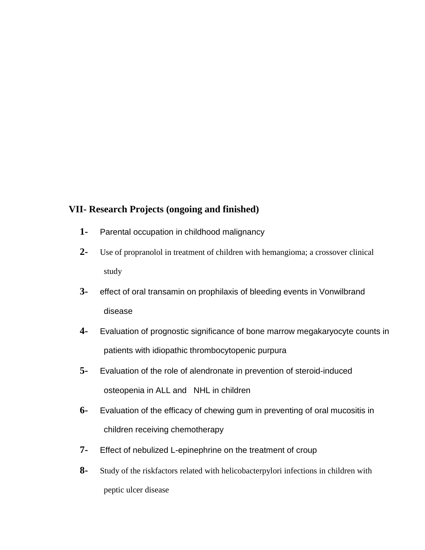### **VII- Research Projects (ongoing and finished)**

- **1-** Parental occupation in childhood malignancy
- **2-** Use of propranolol in treatment of children with hemangioma; a crossover clinical study
- **3-** effect of oral transamin on prophilaxis of bleeding events in Vonwilbrand disease
- **4-** Evaluation of prognostic significance of bone marrow megakaryocyte counts in patients with idiopathic thrombocytopenic purpura
- **5-** [Evaluation of the role of alendronate in prevention of steroid-induced](http://amuj.arakmu.ac.ir/files/site1/user_files_44b4b4/dr.esmaili-A-10-792-16-5d882da.pdf)  [osteopenia in ALL and NHL in children](http://amuj.arakmu.ac.ir/files/site1/user_files_44b4b4/dr.esmaili-A-10-792-16-5d882da.pdf)
- **6-** Evaluation of the efficacy of chewing gum in preventing of oral mucositis in children receiving chemotherapy
- **7-** Effect of nebulized L-epinephrine on the treatment of croup
- **8-** Study of the riskfactors related with helicobacterpylori infections in children with peptic ulcer disease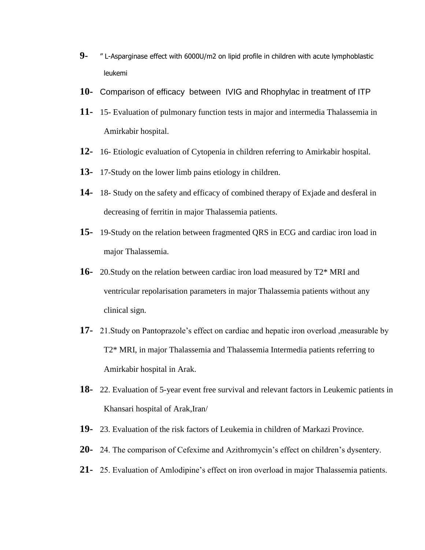- **9-** " L-Asparginase effect with 6000U/m2 on lipid profile in children with acute lymphoblastic leukemi
- **10-** Comparison of efficacy between IVIG and Rhophylac in treatment of ITP
- **11-** 15- Evaluation of pulmonary function tests in major and intermedia Thalassemia in Amirkabir hospital.
- **12-** 16- Etiologic evaluation of Cytopenia in children referring to Amirkabir hospital.
- **13-** 17-Study on the lower limb pains etiology in children.
- **14-** 18- Study on the safety and efficacy of combined therapy of Exjade and desferal in decreasing of ferritin in major Thalassemia patients.
- **15-** 19-Study on the relation between fragmented QRS in ECG and cardiac iron load in major Thalassemia.
- **16-** 20.Study on the relation between cardiac iron load measured by T2\* MRI and ventricular repolarisation parameters in major Thalassemia patients without any clinical sign.
- **17-** 21.Study on Pantoprazole's effect on cardiac and hepatic iron overload ,measurable by T2\* MRI, in major Thalassemia and Thalassemia Intermedia patients referring to Amirkabir hospital in Arak.
- **18-** 22. Evaluation of 5-year event free survival and relevant factors in Leukemic patients in Khansari hospital of Arak,Iran/
- **19-** 23. Evaluation of the risk factors of Leukemia in children of Markazi Province.
- **20-** 24. The comparison of Cefexime and Azithromycin's effect on children's dysentery.
- **21-** 25. Evaluation of Amlodipine's effect on iron overload in major Thalassemia patients.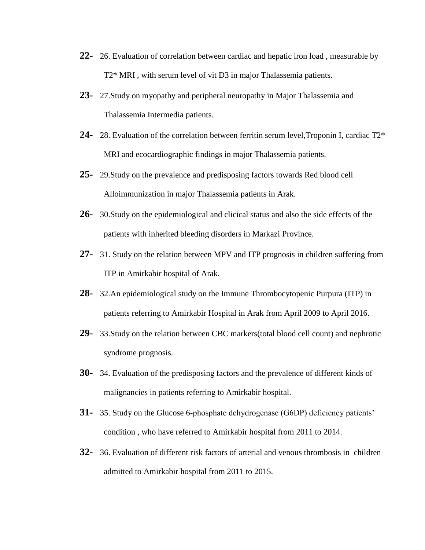- **22-** 26. Evaluation of correlation between cardiac and hepatic iron load , measurable by T2\* MRI , with serum level of vit D3 in major Thalassemia patients.
- **23-** 27.Study on myopathy and peripheral neuropathy in Major Thalassemia and Thalassemia Intermedia patients.
- **24-** 28. Evaluation of the correlation between ferritin serum level,Troponin I, cardiac T2\* MRI and ecocardiographic findings in major Thalassemia patients.
- **25-** 29.Study on the prevalence and predisposing factors towards Red blood cell Alloimmunization in major Thalassemia patients in Arak.
- **26-** 30.Study on the epidemiological and clicical status and also the side effects of the patients with inherited bleeding disorders in Markazi Province.
- **27-** 31. Study on the relation between MPV and ITP prognosis in children suffering from ITP in Amirkabir hospital of Arak.
- **28-** 32.An epidemiological study on the Immune Thrombocytopenic Purpura (ITP) in patients referring to Amirkabir Hospital in Arak from April 2009 to April 2016.
- **29-** 33.Study on the relation between CBC markers(total blood cell count) and nephrotic syndrome prognosis.
- **30-** 34. Evaluation of the predisposing factors and the prevalence of different kinds of malignancies in patients referring to Amirkabir hospital.
- **31-** 35. Study on the Glucose 6-phosphate dehydrogenase (G6DP) deficiency patients' condition , who have referred to Amirkabir hospital from 2011 to 2014.
- **32-** 36. Evaluation of different risk factors of arterial and venous thrombosis in children admitted to Amirkabir hospital from 2011 to 2015.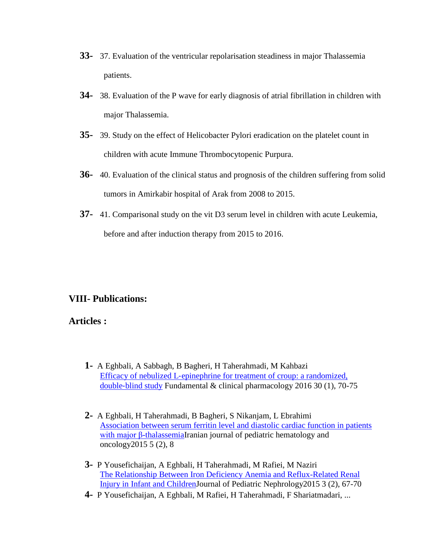- **33-** 37. Evaluation of the ventricular repolarisation steadiness in major Thalassemia patients.
- **34-** 38. Evaluation of the P wave for early diagnosis of atrial fibrillation in children with major Thalassemia.
- **35-** 39. Study on the effect of Helicobacter Pylori eradication on the platelet count in children with acute Immune Thrombocytopenic Purpura.
- **36-** 40. Evaluation of the clinical status and prognosis of the children suffering from solid tumors in Amirkabir hospital of Arak from 2008 to 2015.
- **37-** 41. Comparisonal study on the vit D3 serum level in children with acute Leukemia, before and after induction therapy from 2015 to 2016.

#### **VIII- Publications:**

#### **Articles :**

- **1-** A Eghbali, A Sabbagh, B Bagheri, H Taherahmadi, M Kahbazi Efficacy of nebulized L-epinephrine for treatment of croup: a randomized, double‐[blind study](http://scholar.google.com/citations?view_op=view_citation&hl=en&user=f1BxhpQAAAAJ&citation_for_view=f1BxhpQAAAAJ:9ZlFYXVOiuMC) Fundamental & clinical pharmacology 2016 30 (1), 70-75
- **2-** A Eghbali, H Taherahmadi, B Bagheri, S Nikanjam, L Ebrahimi [Association between serum ferritin level and diastolic cardiac function in patients](http://scholar.google.com/citations?view_op=view_citation&hl=en&user=f1BxhpQAAAAJ&citation_for_view=f1BxhpQAAAAJ:4DMP91E08xMC)  [with major β-thalassemiaI](http://scholar.google.com/citations?view_op=view_citation&hl=en&user=f1BxhpQAAAAJ&citation_for_view=f1BxhpQAAAAJ:4DMP91E08xMC)ranian journal of pediatric hematology and oncology2015 5 (2), 8
- **3-** P Yousefichaijan, A Eghbali, H Taherahmadi, M Rafiei, M Naziri [The Relationship Between Iron Deficiency Anemia and Reflux-Related Renal](http://scholar.google.com/citations?view_op=view_citation&hl=en&user=f1BxhpQAAAAJ&citation_for_view=f1BxhpQAAAAJ:aqlVkmm33-oC)  [Injury in Infant and ChildrenJ](http://scholar.google.com/citations?view_op=view_citation&hl=en&user=f1BxhpQAAAAJ&citation_for_view=f1BxhpQAAAAJ:aqlVkmm33-oC)ournal of Pediatric Nephrology2015 3 (2), 67-70
- **4-** P Yousefichaijan, A Eghbali, M Rafiei, H Taherahmadi, F Shariatmadari, ...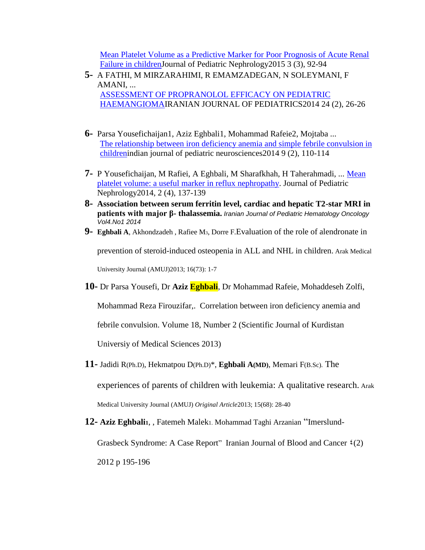[Mean Platelet Volume as a Predictive Marker for Poor Prognosis of Acute Renal](http://scholar.google.com/citations?view_op=view_citation&hl=en&user=f1BxhpQAAAAJ&citation_for_view=f1BxhpQAAAAJ:Wp0gIr-vW9MC)  [Failure in childrenJ](http://scholar.google.com/citations?view_op=view_citation&hl=en&user=f1BxhpQAAAAJ&citation_for_view=f1BxhpQAAAAJ:Wp0gIr-vW9MC)ournal of Pediatric Nephrology2015 3 (3), 92-94

- **5-** A FATHI, M MIRZARAHIMI, R EMAMZADEGAN, N SOLEYMANI, F AMANI, ... [ASSESSMENT OF PROPRANOLOL EFFICACY ON PEDIATRIC](http://scholar.google.com/citations?view_op=view_citation&hl=en&user=f1BxhpQAAAAJ&citation_for_view=f1BxhpQAAAAJ:mVmsd5A6BfQC)  [HAEMANGIOMAI](http://scholar.google.com/citations?view_op=view_citation&hl=en&user=f1BxhpQAAAAJ&citation_for_view=f1BxhpQAAAAJ:mVmsd5A6BfQC)RANIAN JOURNAL OF PEDIATRICS2014 24 (2), 26-26
- **6-** Parsa Yousefichaijan1, Aziz Eghbali1, Mohammad Rafeie2, Mojtaba ... [The relationship between iron deficiency anemia and simple febrile convulsion in](http://scholar.google.com/citations?view_op=view_citation&hl=en&user=f1BxhpQAAAAJ&citation_for_view=f1BxhpQAAAAJ:Se3iqnhoufwC)  [childreni](http://scholar.google.com/citations?view_op=view_citation&hl=en&user=f1BxhpQAAAAJ&citation_for_view=f1BxhpQAAAAJ:Se3iqnhoufwC)ndian journal of pediatric neurosciences2014 9 (2), 110-114
- **7-** P Yousefichaijan, M Rafiei, A Eghbali, M Sharafkhah, H Taherahmadi, ... [Mean](http://scholar.google.com/citations?view_op=view_citation&hl=en&user=f1BxhpQAAAAJ&citation_for_view=f1BxhpQAAAAJ:YOwf2qJgpHMC)  [platelet volume: a useful marker in reflux nephropathy.](http://scholar.google.com/citations?view_op=view_citation&hl=en&user=f1BxhpQAAAAJ&citation_for_view=f1BxhpQAAAAJ:YOwf2qJgpHMC) Journal of Pediatric Nephrology2014, 2 (4), 137-139
- **8- Association between serum ferritin level, cardiac and hepatic T2-star MRI in patients with major β- thalassemia.** *Iranian Journal of Pediatric Hematology Oncology Vol4.No1 2014*
- **9- Eghbali A**, Akhondzadeh , Rafiee M3, Dorre F.[Evaluation of the role of alendronate in](http://amuj.arakmu.ac.ir/files/site1/user_files_44b4b4/dr.esmaili-A-10-792-16-5d882da.pdf)

[prevention of steroid-induced osteopenia in ALL and NHL in children.](http://amuj.arakmu.ac.ir/files/site1/user_files_44b4b4/dr.esmaili-A-10-792-16-5d882da.pdf) Arak Medical

University Journal (AMUJ)2013; 16(73): 1-7

**10-** Dr Parsa Yousefi, Dr **Aziz Eghbali**, Dr Mohammad Rafeie, Mohaddeseh Zolfi,

Mohammad Reza Firouzifar,. [Correlation between iron deficiency anemia and](http://sjku.muk.ac.ir/browse.php?a_code=A-10-1-388&slc_lang=en&sid=1&sw=) 

[febrile convulsion.](http://sjku.muk.ac.ir/browse.php?a_code=A-10-1-388&slc_lang=en&sid=1&sw=) Volume 18, Number 2 (Scientific Journal of Kurdistan

Universiy of Medical Sciences 2013)

**11-** Jadidi R(Ph.D), Hekmatpou D(Ph.D)\*, **Eghbali A(MD)**, Memari F(B.Sc). The

experiences of parents of children with leukemia: A qualitative research. Arak Medical University Journal (AMUJ) *Original Article*2013; 15(68): 28-40

**12- Aziz Eghbali1**, , Fatemeh Malek1. Mohammad Taghi Arzanian "[Imerslund-](http://manuscriptonline.com/authors/detail.asp?articleID=17516)

[Grasbeck Syndrome: A Case Report](http://manuscriptonline.com/authors/detail.asp?articleID=17516)" Iranian Journal of Blood and Cancer  $\mathfrak{t}(2)$ 2012 p 195-196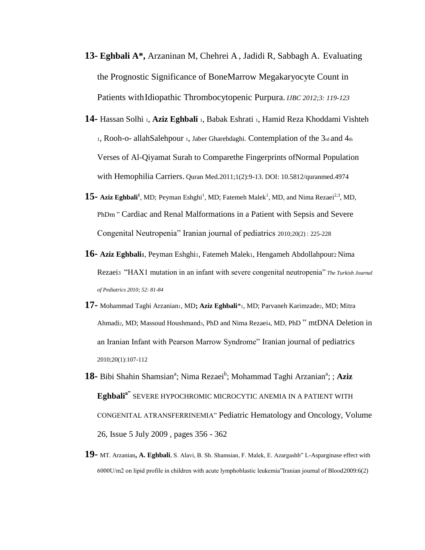- **13- Eghbali A\*,** Arzaninan M, Chehrei A , Jadidi R, Sabbagh A. Evaluating the Prognostic Significance of BoneMarrow Megakaryocyte Count in Patients withIdiopathic Thrombocytopenic Purpura. *IJBC 2012;3: 119-123*
- **14-** Hassan Solhi 1, **Aziz Eghbali** <sup>1</sup>, Babak Eshrati 1, Hamid Reza Khoddami Vishteh 1, Rooh-o- allahSalehpour 1, Jaber Gharehdaghi. Contemplation of the 3rd and 4th Verses of Al-Qiyamat Surah to Comparethe Fingerprints ofNormal Population with Hemophilia Carriers. Quran Med.2011;1(2):9-13. DOI: 10.5812/quranmed.4974
- 15 Aziz Eghbali<sup>1</sup>, MD; Peyman Eshghi<sup>1</sup>, MD; Fatemeh Malek<sup>1</sup>, MD, and Nima Rezaei<sup>2,3</sup>, MD, PhDm " Cardiac and Renal Malformations in a Patient with Sepsis and Severe Congenital Neutropenia" Iranian journal of pediatrics 2010;20(2) : 225-228
- **16- Aziz Eghbali1**, Peyman Eshghi1, Fatemeh Malek1, Hengameh Abdollahpour2 Nima Rezaei3 "HAX1 mutation in an infant with severe congenital neutropenia" *The Turkish Journal of Pediatrics 2010; 52: 81-84*
- 17- Mohammad Taghi Arzanian1, MD; Aziz Eghbali<sup>\*1</sup>1, MD; Parvaneh Karimzade2, MD; Mitra Ahmadi2, MD; Massoud Houshmand3, PhD and Nima Rezaei4, MD, PhD " mtDNA Deletion in an Iranian Infant with Pearson Marrow Syndrome" Iranian journal of pediatrics 2010;20(1):107-112
- 18 Bibi Shahin Shamsian<sup>a</sup>; Nima Rezaei<sup>b</sup>; Mohammad Taghi Arzanian<sup>a</sup>; ; Aziz **Eghbalia"** SEVERE HYPOCHROMIC MICROCYTIC ANEMIA IN A PATIENT WITH CONGENITAL ATRANSFERRINEMIA" [Pediatric Hematology and Oncology,](http://www.informaworld.com/smpp/title~db=all~content=t713610311) Volume [26,](http://www.informaworld.com/smpp/title~db=all~content=t713610311~tab=issueslist~branches=26#v26) Issue [5 J](http://www.informaworld.com/smpp/title~db=all~content=g912890503)uly 2009 , pages 356 - 362
- **19-** MT. Arzanian**, A. Eghbali**, S. Alavi, B. Sh. Shamsian, F. Malek, E. Azargashb" L-Asparginase effect with 6000U/m2 on lipid profile in children with acute lymphoblastic leukemia"Iranian journal of Blood2009:6(2)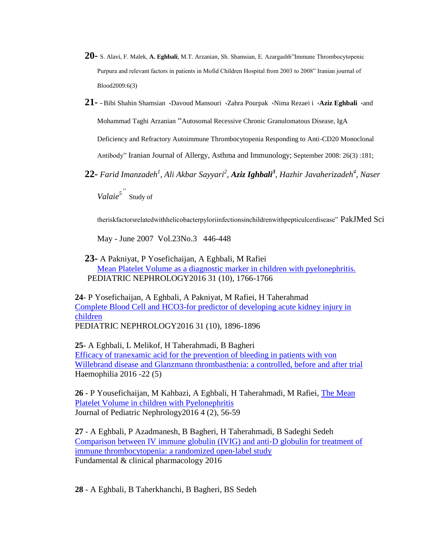- **20-** S. Alavi, F. Malek, **A. Eghbali**, M.T. Arzanian, Sh. Shamsian, E. Azargashb"Immune Thrombocytopenic Purpura and relevant factors in patients in Mofid Children Hospital from 2003 to 2008" Iranian journal of Blood2009:6(3)
- **21-** Bibi Shahin Shamsian ،Davoud Mansouri ،Zahra Pourpak ،Nima Rezaei i ،**Aziz Eghbali** ،and Mohammad Taghi Arzanian "Autosomal Recessive Chronic Granulomatous Disease, IgA Deficiency and Refractory Autoimmune Thrombocytopenia Responding to Anti-CD20 Monoclonal Antibody" Iranian Journal of Allergy, Asthma and Immunology; September 2008: 26(3) :181;
- **22-** *Farid Imanzadeh<sup>1</sup> , Ali Akbar Sayyari<sup>2</sup> , Aziz Ighbali<sup>3</sup> , Hazhir Javaherizadeh<sup>4</sup> , Naser Valaie<sup>5</sup>"* Study of

theriskfactorsrelatedwithhelicobacterpyloriinfectionsinchildrenwithpepticulcerdisease" PakJMed Sci

May - June 2007 Vol.23No.3 446-448

**23-** A Pakniyat, P Yosefichaijan, A Eghbali, M Rafiei [Mean Platelet Volume as a diagnostic marker in children with pyelonephritis.](http://scholar.google.com/citations?view_op=view_citation&hl=en&user=f1BxhpQAAAAJ&citation_for_view=f1BxhpQAAAAJ:hC7cP41nSMkC) PEDIATRIC NEPHROLOGY2016 31 (10), 1766-1766

**24**- P Yosefichaijan, A Eghbali, A Pakniyat, M Rafiei, H Taherahmad [Complete Blood Cell and HCO3-for predictor of developing acute kidney injury in](http://scholar.google.com/citations?view_op=view_citation&hl=en&user=f1BxhpQAAAAJ&citation_for_view=f1BxhpQAAAAJ:qUcmZB5y_30C)  [children](http://scholar.google.com/citations?view_op=view_citation&hl=en&user=f1BxhpQAAAAJ&citation_for_view=f1BxhpQAAAAJ:qUcmZB5y_30C) PEDIATRIC NEPHROLOGY2016 31 (10), 1896-1896

**25**- A Eghbali, L Melikof, H Taherahmadi, B Bagheri [Efficacy of tranexamic acid for the prevention of bleeding in patients with von](http://scholar.google.com/citations?view_op=view_citation&hl=en&user=f1BxhpQAAAAJ&citation_for_view=f1BxhpQAAAAJ:IWHjjKOFINEC)  [Willebrand disease and Glanzmann thrombasthenia: a controlled, before and after trial](http://scholar.google.com/citations?view_op=view_citation&hl=en&user=f1BxhpQAAAAJ&citation_for_view=f1BxhpQAAAAJ:IWHjjKOFINEC) Haemophilia 2016 -22 (5)

**26** - P Yousefichaijan, M Kahbazi, A Eghbali, H Taherahmadi, M Rafiei, [The Mean](http://scholar.google.com/citations?view_op=view_citation&hl=en&user=f1BxhpQAAAAJ&citation_for_view=f1BxhpQAAAAJ:ZeXyd9-uunAC)  [Platelet Volume in children with Pyelonephritis](http://scholar.google.com/citations?view_op=view_citation&hl=en&user=f1BxhpQAAAAJ&citation_for_view=f1BxhpQAAAAJ:ZeXyd9-uunAC) Journal of Pediatric Nephrology2016 4 (2), 56-59

**27** - A Eghbali, P Azadmanesh, B Bagheri, H Taherahmadi, B Sadeghi Sedeh [Comparison between IV immune globulin \(IVIG\) and anti](http://scholar.google.com/citations?view_op=view_citation&hl=en&user=f1BxhpQAAAAJ&cstart=20&citation_for_view=f1BxhpQAAAAJ:dhFuZR0502QC)‐D globulin for treatment of [immune thrombocytopenia: a randomized open](http://scholar.google.com/citations?view_op=view_citation&hl=en&user=f1BxhpQAAAAJ&cstart=20&citation_for_view=f1BxhpQAAAAJ:dhFuZR0502QC)‐label study Fundamental & clinical pharmacology 2016

**28** - A Eghbali, B Taherkhanchi, B Bagheri, BS Sedeh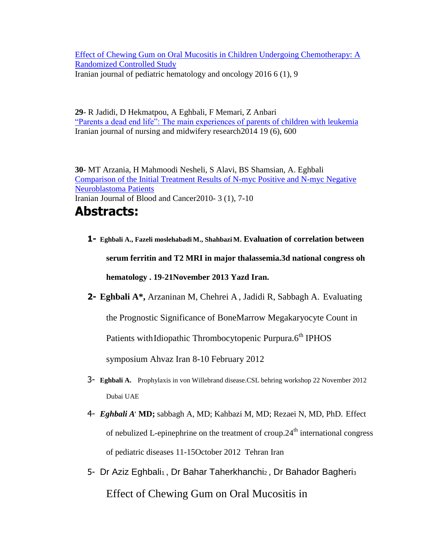[Effect of Chewing Gum on Oral Mucositis in Children Undergoing Chemotherapy: A](http://scholar.google.com/citations?view_op=view_citation&hl=en&user=f1BxhpQAAAAJ&cstart=20&citation_for_view=f1BxhpQAAAAJ:L8Ckcad2t8MC)  [Randomized Controlled Study](http://scholar.google.com/citations?view_op=view_citation&hl=en&user=f1BxhpQAAAAJ&cstart=20&citation_for_view=f1BxhpQAAAAJ:L8Ckcad2t8MC) Iranian journal of pediatric hematology and oncology 2016 6 (1), 9

**29**- R Jadidi, D Hekmatpou, A Eghbali, F Memari, Z Anbari ["Parents a dead end life": The main experiences of](http://scholar.google.com/citations?view_op=view_citation&hl=en&user=f1BxhpQAAAAJ&cstart=20&citation_for_view=f1BxhpQAAAAJ:M3ejUd6NZC8C) parents of children with leukemia Iranian journal of nursing and midwifery research2014 19 (6), 600

**30**- MT Arzania, H Mahmoodi Nesheli, S Alavi, BS Shamsian, A. Eghbali [Comparison of the Initial Treatment Results of N-myc Positive and N-myc Negative](http://scholar.google.com/citations?view_op=view_citation&hl=en&user=f1BxhpQAAAAJ&cstart=20&citation_for_view=f1BxhpQAAAAJ:Tyk-4Ss8FVUC)  [Neuroblastoma Patients](http://scholar.google.com/citations?view_op=view_citation&hl=en&user=f1BxhpQAAAAJ&cstart=20&citation_for_view=f1BxhpQAAAAJ:Tyk-4Ss8FVUC) Iranian Journal of Blood and Cancer2010- 3 (1), 7-10 **Abstracts:**

- **1- Eghbali A., Fazeli moslehabadi M., Shahbazi M. Evaluation of correlation between serum ferritin and T2 MRI in major thalassemia.3d national congress oh hematology . 19-21November 2013 Yazd Iran.**
- **2- Eghbali A\*,** Arzaninan M, Chehrei A , Jadidi R, Sabbagh A. Evaluating the Prognostic Significance of BoneMarrow Megakaryocyte Count in Patients with Idiopathic Thrombocytopenic Purpura.6<sup>th</sup> IPHOS symposium Ahvaz Iran 8-10 February 2012
- 3- **Eghbali A.** Prophylaxis in von Willebrand disease.CSL behring workshop 22 November 2012 Dubai UAE
- 4- *Eghbali A ,* **MD;** sabbagh A, MD; Kahbazi M, MD; Rezaei N, MD, PhD. Effect of nebulized L-epinephrine on the treatment of croup.  $24<sup>th</sup>$  international congress of pediatric diseases 11-15October 2012 Tehran Iran
- 5- Dr Aziz Eghbali<sub>1</sub>, Dr Bahar Taherkhanchi<sub>2</sub>, Dr Bahador Bagheri<sub>3</sub> Effect of Chewing Gum on Oral Mucositis in